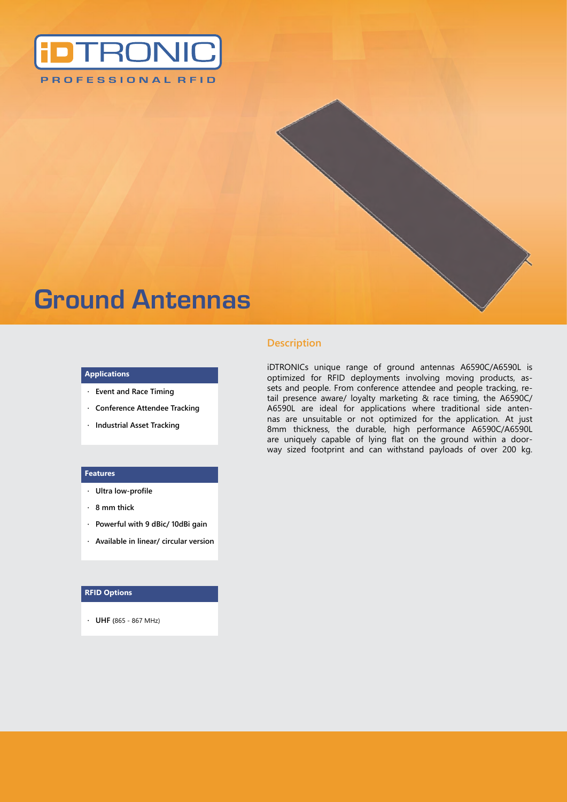

# **Ground Antennas**

#### **Applications**

- **· Event and Race Timing**
- **· Conference Attendee Tracking**
- **· Industrial Asset Tracking**

#### **Features**

- **· Ultra low-profile**
- **· 8 mm thick**
- **· Powerful with 9 dBic/ 10dBi gain**
- **· Available in linear/ circular version**

#### **RFID Options**

**· UHF (**865 - 867 MHz)

### **Description**

iDTRONICs unique range of ground antennas A6590C/A6590L is optimized for RFID deployments involving moving products, assets and people. From conference attendee and people tracking, retail presence aware/ loyalty marketing & race timing, the A6590C/ A6590L are ideal for applications where traditional side antennas are unsuitable or not optimized for the application. At just 8mm thickness, the durable, high performance A6590C/A6590L are uniquely capable of lying flat on the ground within a doorway sized footprint and can withstand payloads of over 200 kg.